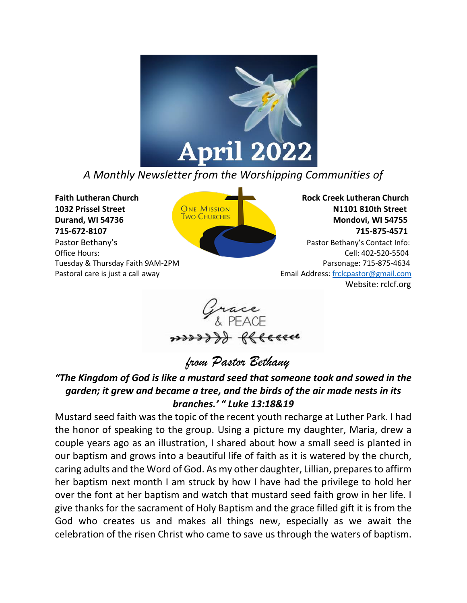

*A Monthly Newsletter from the Worshipping Communities of*

**Faith Lutheran Church Rock Creek Lutheran Church 1032 Prissel Street CONE MISSION CONE ALSO BE SEEN AT A STREET AND STREET AND STREET AND REALLY STREET AND STREET AND STREET AND STREET AND STREET AND STREET AND STREET AND STREET AND STREET AND STREET AND STREET AND STRE Durand, WI 54736** Mondovi, WI 54755 Mondovi, WI 54755 **715-672-8107 715-875-4571 Pastor Bethany's Pastor Bethany's Pastor Bethany's** Contact Info: Office Hours: Cell: 402-520-5504

Tuesday & Thursday Faith 9AM-2PM **Parsonage: 715-875-4634** Parsonage: 715-875-4634 Pastoral care is just a call away extended the set of the set of the Email Address[: frclcpastor@gmail.com](mailto:frclcpastor@gmail.com) Website: rclcf.org



*from Pastor Bethany*

# *"The Kingdom of God is like a mustard seed that someone took and sowed in the garden; it grew and became a tree, and the birds of the air made nests in its branches.' " Luke 13:18&19*

Mustard seed faith was the topic of the recent youth recharge at Luther Park. I had the honor of speaking to the group. Using a picture my daughter, Maria, drew a couple years ago as an illustration, I shared about how a small seed is planted in our baptism and grows into a beautiful life of faith as it is watered by the church, caring adults and the Word of God. As my other daughter, Lillian, prepares to affirm her baptism next month I am struck by how I have had the privilege to hold her over the font at her baptism and watch that mustard seed faith grow in her life. I give thanks for the sacrament of Holy Baptism and the grace filled gift it is from the God who creates us and makes all things new, especially as we await the celebration of the risen Christ who came to save us through the waters of baptism.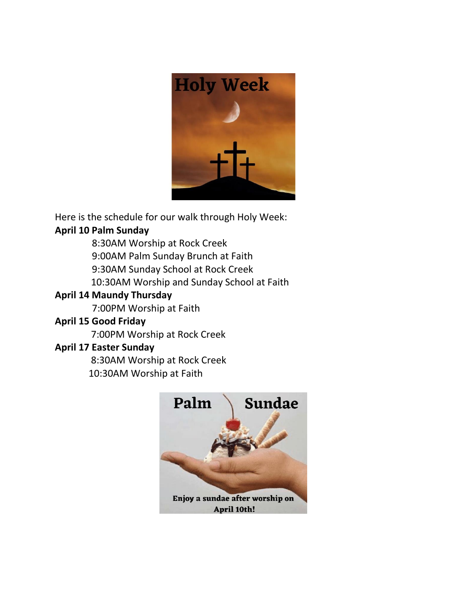

Here is the schedule for our walk through Holy Week:

## **April 10 Palm Sunday**

 8:30AM Worship at Rock Creek 9:00AM Palm Sunday Brunch at Faith 9:30AM Sunday School at Rock Creek 10:30AM Worship and Sunday School at Faith

## **April 14 Maundy Thursday**

7:00PM Worship at Faith

### **April 15 Good Friday**

7:00PM Worship at Rock Creek

### **April 17 Easter Sunday**

 8:30AM Worship at Rock Creek 10:30AM Worship at Faith

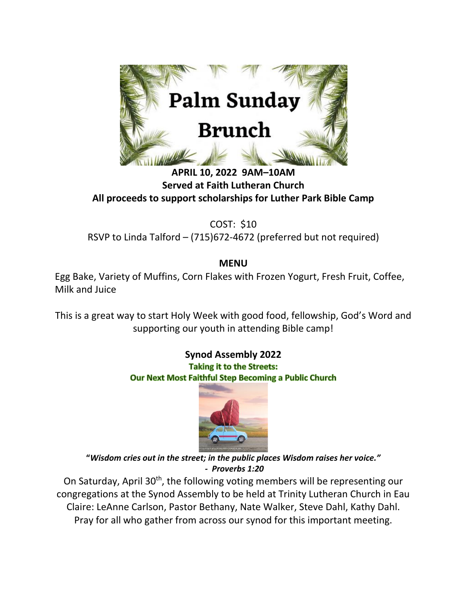

### **APRIL 10, 2022 9AM–10AM Served at Faith Lutheran Church All proceeds to support scholarships for Luther Park Bible Camp**

COST: \$10 RSVP to Linda Talford – (715)672-4672 (preferred but not required)

#### **MENU**

Egg Bake, Variety of Muffins, Corn Flakes with Frozen Yogurt, Fresh Fruit, Coffee, Milk and Juice

This is a great way to start Holy Week with good food, fellowship, God's Word and supporting our youth in attending Bible camp!

#### **Synod Assembly 2022 Taking it to the Streets: Our Next Most Faithful Step Becoming a Public Church**



**"***Wisdom cries out in the street; in the public places Wisdom raises her voice." - Proverbs 1:20*

On Saturday, April  $30<sup>th</sup>$ , the following voting members will be representing our congregations at the Synod Assembly to be held at Trinity Lutheran Church in Eau Claire: LeAnne Carlson, Pastor Bethany, Nate Walker, Steve Dahl, Kathy Dahl. Pray for all who gather from across our synod for this important meeting.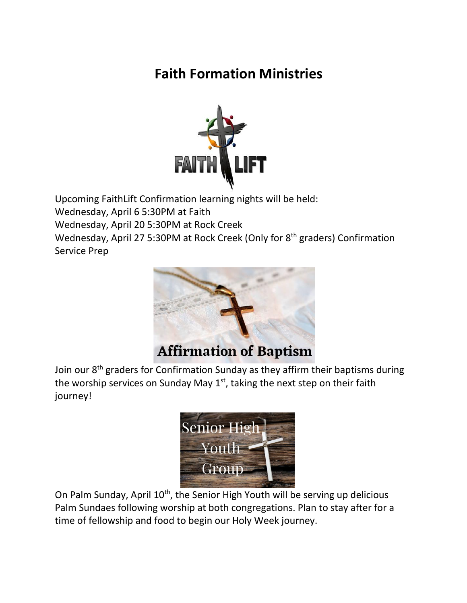# **Faith Formation Ministries**



Upcoming FaithLift Confirmation learning nights will be held: Wednesday, April 6 5:30PM at Faith Wednesday, April 20 5:30PM at Rock Creek Wednesday, April 27 5:30PM at Rock Creek (Only for 8<sup>th</sup> graders) Confirmation Service Prep



# **Affirmation of Baptism**

Join our 8<sup>th</sup> graders for Confirmation Sunday as they affirm their baptisms during the worship services on Sunday May  $1<sup>st</sup>$ , taking the next step on their faith journey!



On Palm Sunday, April  $10^{th}$ , the Senior High Youth will be serving up delicious Palm Sundaes following worship at both congregations. Plan to stay after for a time of fellowship and food to begin our Holy Week journey.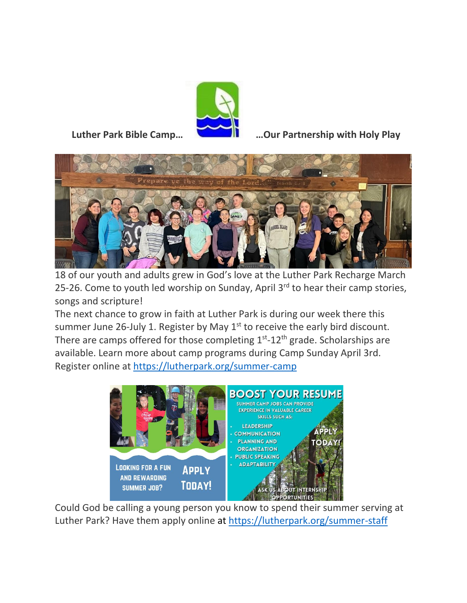

 **Luther Park Bible Camp… …Our Partnership with Holy Play** 



18 of our youth and adults grew in God's love at the Luther Park Recharge March 25-26. Come to youth led worship on Sunday, April  $3<sup>rd</sup>$  to hear their camp stories, songs and scripture!

The next chance to grow in faith at Luther Park is during our week there this summer June 26-July 1. Register by May  $1<sup>st</sup>$  to receive the early bird discount. There are camps offered for those completing  $1<sup>st</sup>$ -12<sup>th</sup> grade. Scholarships are available. Learn more about camp programs during Camp Sunday April 3rd. Register online at<https://lutherpark.org/summer-camp>



Could God be calling a young person you know to spend their summer serving at Luther Park? Have them apply online at<https://lutherpark.org/summer-staff>